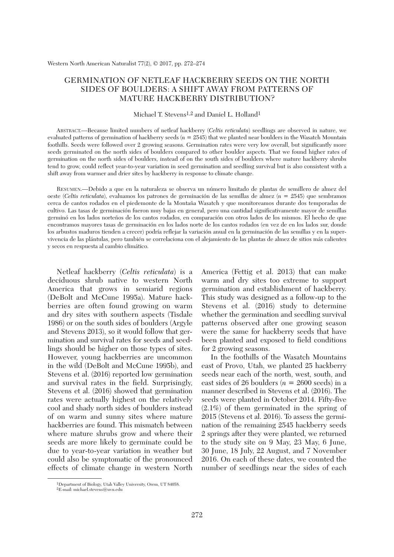## GERMINATION OF NETLEAF HACKBERRY SEEDS ON THE NORTH SIDES OF BOULDERS: A SHIFT AWAY FROM PATTERNS OF MATURE HACKBERRY DISTRIBUTION?

## Michael T. Stevens1,2 and Daniel L. Holland1

 ABSTRACT.—Because limited numbers of netleaf hackberry (*Celtis reticulata*) seedlings are observed in nature, we evaluated patterns of germination of hackberry seeds (*n* = 2545) that we planted near boulders in the Wasatch Mountain foothills. Seeds were followed over 2 growing seasons. Germination rates were very low overall, but significantly more seeds germinated on the north sides of boulders compared to other boulder aspects. That we found higher rates of germination on the north sides of boulders, instead of on the south sides of boulders where mature hackberry shrubs tend to grow, could reflect year-to-year variation in seed germination and seedling survival but is also consistent with a shift away from warmer and drier sites by hackberry in response to climate change.

 RESUMEN.—Debido a que en la naturaleza se observa un número limitado de plantas de semillero de almez del oeste (*Celtis reticulata*), evaluamos los patrones de germinación de las semillas de almez (*n* = 2545) que sembramos cerca de cantos rodados en el piedemonte de la Montaña Wasatch y que monitoreamos durante dos temporadas de cultivo. Las tasas de germinación fueron muy bajas en general, pero una cantidad significativamente mayor de semillas germinó en los lados norteños de los cantos rodados, en comparación con otros lados de los mismos. El hecho de que encontramos mayores tasas de germinación en los lados norte de los cantos rodados (en vez de en los lados sur, donde los arbustos maduros tienden a crecer) podría reflejar la variación anual en la germinación de las semillas y en la supervivencia de las plántulas, pero también se correlaciona con el alejamiento de las plantas de almez de sitios más calientes y secos en respuesta al cambio climático.

 Netleaf hackberry (*Celtis reticulata*) is a deciduous shrub native to western North America that grows in semiarid regions (DeBolt and McCune 1995a). Mature hackberries are often found growing on warm and dry sites with southern aspects (Tisdale 1986) or on the south sides of boulders (Argyle and Stevens 2013), so it would follow that germination and survival rates for seeds and seedlings should be higher on those types of sites. However, young hackberries are uncommon in the wild (DeBolt and McCune 1995b), and Stevens et al. (2016) reported low germination and survival rates in the field. Surprisingly, Stevens et al. (2016) showed that germination rates were actually highest on the relatively cool and shady north sides of boulders instead of on warm and sunny sites where mature hackberries are found. This mismatch between where mature shrubs grow and where their seeds are more likely to germinate could be due to year-to-year variation in weather but could also be symptomatic of the pronounced effects of climate change in western North America (Fettig et al. 2013) that can make warm and dry sites too extreme to support germination and establishment of hackberry. This study was designed as a follow-up to the Stevens et al. (2016) study to determine whether the germination and seedling survival patterns observed after one growing season were the same for hackberry seeds that have been planted and exposed to field conditions for 2 growing seasons.

 In the foothills of the Wasatch Mountains east of Provo, Utah, we planted 25 hackberry seeds near each of the north, west, south, and east sides of 26 boulders  $(n = 2600 \text{ seeds})$  in a manner described in Stevens et al. (2016). The seeds were planted in October 2014. Fifty-five (2.1%) of them germinated in the spring of 2015 (Stevens et al. 2016). To assess the germination of the remaining 2545 hackberry seeds 2 springs after they were planted, we returned to the study site on 9 May, 23 May, 6 June, 30 June, 18 July, 22 August, and 7 November 2016. On each of these dates, we counted the number of seedlings near the sides of each

 <sup>1</sup>Department of Biology, Utah Valley University, Orem, UT 84058.

 <sup>2</sup>E-mail: michael.stevens@uvu.edu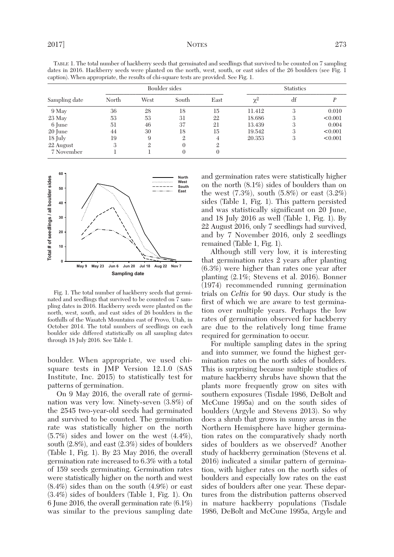| dates in 2016. Hackberry seeds were planted on the north, west, south, or east sides of the 26 boulders (see Fig. 1<br>caption). When appropriate, the results of chi-square tests are provided. See Fig. 1. |               |      |       |      |                   |    |         |
|--------------------------------------------------------------------------------------------------------------------------------------------------------------------------------------------------------------|---------------|------|-------|------|-------------------|----|---------|
| Sampling date                                                                                                                                                                                                | Boulder sides |      |       |      | <b>Statistics</b> |    |         |
|                                                                                                                                                                                                              | North         | West | South | East | $\chi^2$          | df |         |
| 9 May                                                                                                                                                                                                        | 36            | 28   | 18    | 15   | 11.412            | 3  | 0.010   |
| 23 May                                                                                                                                                                                                       | 53            | 53   | 31    | 22   | 18.686            |    | < 0.001 |
| 6 June                                                                                                                                                                                                       | 51            | 46   | 37    | 21   | 13.439            |    | 0.004   |
| 20 June                                                                                                                                                                                                      | 44            | 30   | 18    | 15   | 19.542            |    | < 0.001 |
| $18$ July                                                                                                                                                                                                    | 19            | 9    | 2     | 4    | 20.353            | 3  | < 0.001 |
| 22 August                                                                                                                                                                                                    |               |      | 0     | 9.   |                   |    |         |
| 7 November                                                                                                                                                                                                   |               |      |       |      |                   |    |         |

 TABLE 1. The total number of hackberry seeds that germinated and seedlings that survived to be counted on 7 sampling dates in 2016. Hackberry seeds were planted on the north, west, south, or east sides of the 26 boulders (see Fig. 1



 Fig. 1. The total number of hackberry seeds that germinated and seedlings that survived to be counted on 7 sampling dates in 2016. Hackberry seeds were planted on the north, west, south, and east sides of 26 boulders in the foothills of the Wasatch Mountains east of Provo, Utah, in October 2014. The total numbers of seedlings on each boulder side differed statistically on all sampling dates through 18 July 2016. See Table 1.

boulder. When appropriate, we used chisquare tests in JMP Version 12.1.0 (SAS Institute, Inc. 2015) to statistically test for patterns of germination.

 On 9 May 2016, the overall rate of germination was very low. Ninety-seven (3.8%) of the 2545 two-year-old seeds had germinated and survived to be counted. The germination rate was statistically higher on the north (5.7%) sides and lower on the west (4.4%), south (2.8%), and east (2.3%) sides of boulders (Table 1, Fig. 1). By 23 May 2016, the overall germination rate increased to 6.3% with a total of 159 seeds germinating. Germination rates were statistically higher on the north and west (8.4%) sides than on the south (4.9%) or east (3.4%) sides of boulders (Table 1, Fig. 1). On 6 June 2016, the overall germination rate (6.1%) was similar to the previous sampling date and germination rates were statistically higher on the north (8.1%) sides of boulders than on the west (7.3%), south (5.8%) or east (3.2%) sides (Table 1, Fig. 1). This pattern persisted and was statistically significant on 20 June, and 18 July 2016 as well (Table 1, Fig. 1). By 22 August 2016, only 7 seedlings had survived, and by 7 November 2016, only 2 seedlings remained (Table 1, Fig. 1).

 Although still very low, it is interesting that germination rates 2 years after planting (6.3%) were higher than rates one year after planting (2.1%; Stevens et al. 2016). Bonner (1974) recommended running germination trials on *Celtis* for 90 days. Our study is the first of which we are aware to test germination over multiple years. Perhaps the low rates of germination observed for hackberry are due to the relatively long time frame required for germination to occur.

 For multiple sampling dates in the spring and into summer, we found the highest germination rates on the north sides of boulders. This is surprising because multiple studies of mature hackberry shrubs have shown that the plants more frequently grow on sites with southern exposures (Tisdale 1986, DeBolt and McCune 1995a) and on the south sides of boulders (Argyle and Stevens 2013). So why does a shrub that grows in sunny areas in the Northern Hemisphere have higher germination rates on the comparatively shady north sides of boulders as we observed? Another study of hackberry germination (Stevens et al. 2016) indicated a similar pattern of germination, with higher rates on the north sides of boulders and especially low rates on the east sides of boulders after one year. These departures from the distribution patterns observed in mature hackberry populations (Tisdale 1986, DeBolt and McCune 1995a, Argyle and